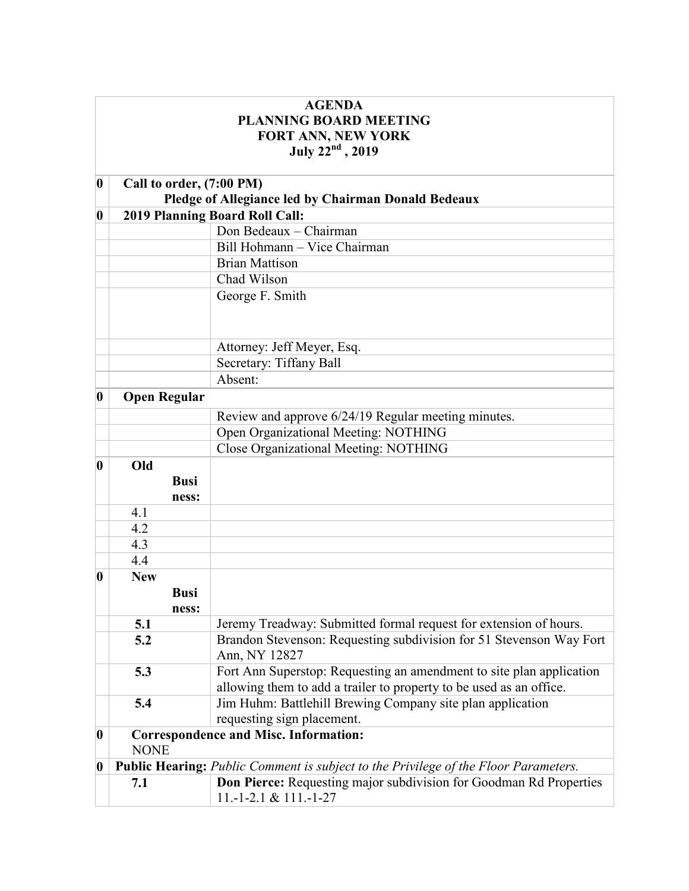| <b>AGENDA</b>                 |                                                             |                                                                                            |  |
|-------------------------------|-------------------------------------------------------------|--------------------------------------------------------------------------------------------|--|
| <b>PLANNING BOARD MEETING</b> |                                                             |                                                                                            |  |
| FORT ANN, NEW YORK            |                                                             |                                                                                            |  |
|                               |                                                             | July $22^{nd}$ , 2019                                                                      |  |
|                               |                                                             |                                                                                            |  |
| $\boldsymbol{0}$              | Call to order, (7:00 PM)                                    |                                                                                            |  |
|                               | Pledge of Allegiance led by Chairman Donald Bedeaux         |                                                                                            |  |
| 0                             |                                                             | 2019 Planning Board Roll Call:                                                             |  |
|                               |                                                             | Don Bedeaux - Chairman                                                                     |  |
|                               |                                                             | Bill Hohmann - Vice Chairman                                                               |  |
|                               |                                                             | <b>Brian Mattison</b>                                                                      |  |
|                               |                                                             | Chad Wilson                                                                                |  |
|                               |                                                             | George F. Smith                                                                            |  |
|                               |                                                             |                                                                                            |  |
|                               |                                                             |                                                                                            |  |
|                               |                                                             | Attorney: Jeff Meyer, Esq.                                                                 |  |
|                               |                                                             | Secretary: Tiffany Ball                                                                    |  |
|                               |                                                             | Absent:                                                                                    |  |
| $\boldsymbol{0}$              | <b>Open Regular</b>                                         |                                                                                            |  |
|                               |                                                             | Review and approve 6/24/19 Regular meeting minutes.                                        |  |
|                               |                                                             | Open Organizational Meeting: NOTHING                                                       |  |
|                               |                                                             | Close Organizational Meeting: NOTHING                                                      |  |
| $\boldsymbol{0}$              | Old                                                         |                                                                                            |  |
|                               | <b>Busi</b>                                                 |                                                                                            |  |
|                               | ness:                                                       |                                                                                            |  |
|                               | 4.1                                                         |                                                                                            |  |
|                               | 4.2                                                         |                                                                                            |  |
|                               | 4.3                                                         |                                                                                            |  |
|                               | 4.4                                                         |                                                                                            |  |
| 0                             | <b>New</b>                                                  |                                                                                            |  |
|                               | <b>Busi</b>                                                 |                                                                                            |  |
|                               | ness:                                                       |                                                                                            |  |
|                               | 5.1                                                         | Jeremy Treadway: Submitted formal request for extension of hours.                          |  |
|                               | 5.2                                                         | Brandon Stevenson: Requesting subdivision for 51 Stevenson Way Fort                        |  |
|                               |                                                             | Ann, NY 12827                                                                              |  |
|                               | 5.3                                                         | Fort Ann Superstop: Requesting an amendment to site plan application                       |  |
|                               |                                                             | allowing them to add a trailer to property to be used as an office.                        |  |
|                               | 5.4                                                         | Jim Huhm: Battlehill Brewing Company site plan application                                 |  |
|                               |                                                             | requesting sign placement.                                                                 |  |
| $\boldsymbol{0}$              | <b>Correspondence and Misc. Information:</b><br><b>NONE</b> |                                                                                            |  |
| $\boldsymbol{0}$              |                                                             | <b>Public Hearing:</b> Public Comment is subject to the Privilege of the Floor Parameters. |  |
|                               | 7.1                                                         | <b>Don Pierce:</b> Requesting major subdivision for Goodman Rd Properties                  |  |
|                               |                                                             | $11.-1-2.1 & 111.-1-27$                                                                    |  |
|                               |                                                             |                                                                                            |  |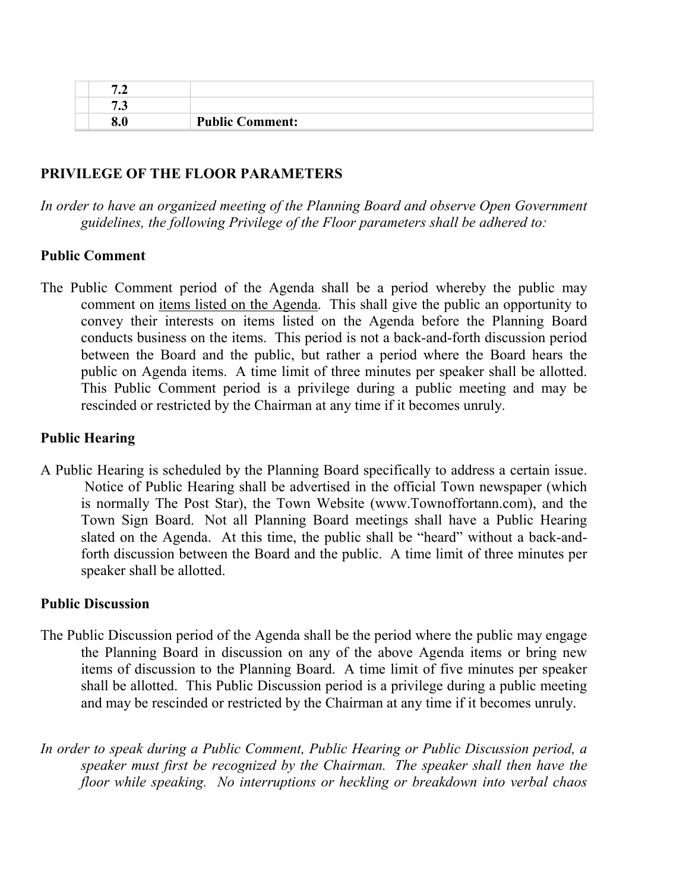| ں . |                        |
|-----|------------------------|
| v.v | <b>Public Comment:</b> |

## **PRIVILEGE OF THE FLOOR PARAMETERS**

*In order to have an organized meeting of the Planning Board and observe Open Government guidelines, the following Privilege of the Floor parameters shall be adhered to:*

## **Public Comment**

The Public Comment period of the Agenda shall be a period whereby the public may comment on items listed on the Agenda. This shall give the public an opportunity to convey their interests on items listed on the Agenda before the Planning Board conducts business on the items. This period is not a back-and-forth discussion period between the Board and the public, but rather a period where the Board hears the public on Agenda items. A time limit of three minutes per speaker shall be allotted. This Public Comment period is a privilege during a public meeting and may be rescinded or restricted by the Chairman at any time if it becomes unruly.

## **Public Hearing**

A Public Hearing is scheduled by the Planning Board specifically to address a certain issue. Notice of Public Hearing shall be advertised in the official Town newspaper (which is normally The Post Star), the Town Website (www.Townoffortann.com), and the Town Sign Board. Not all Planning Board meetings shall have a Public Hearing slated on the Agenda. At this time, the public shall be "heard" without a back-andforth discussion between the Board and the public. A time limit of three minutes per speaker shall be allotted.

## **Public Discussion**

- The Public Discussion period of the Agenda shall be the period where the public may engage the Planning Board in discussion on any of the above Agenda items or bring new items of discussion to the Planning Board. A time limit of five minutes per speaker shall be allotted. This Public Discussion period is a privilege during a public meeting and may be rescinded or restricted by the Chairman at any time if it becomes unruly.
- *In order to speak during a Public Comment, Public Hearing or Public Discussion period, a speaker must first be recognized by the Chairman. The speaker shall then have the floor while speaking. No interruptions or heckling or breakdown into verbal chaos*